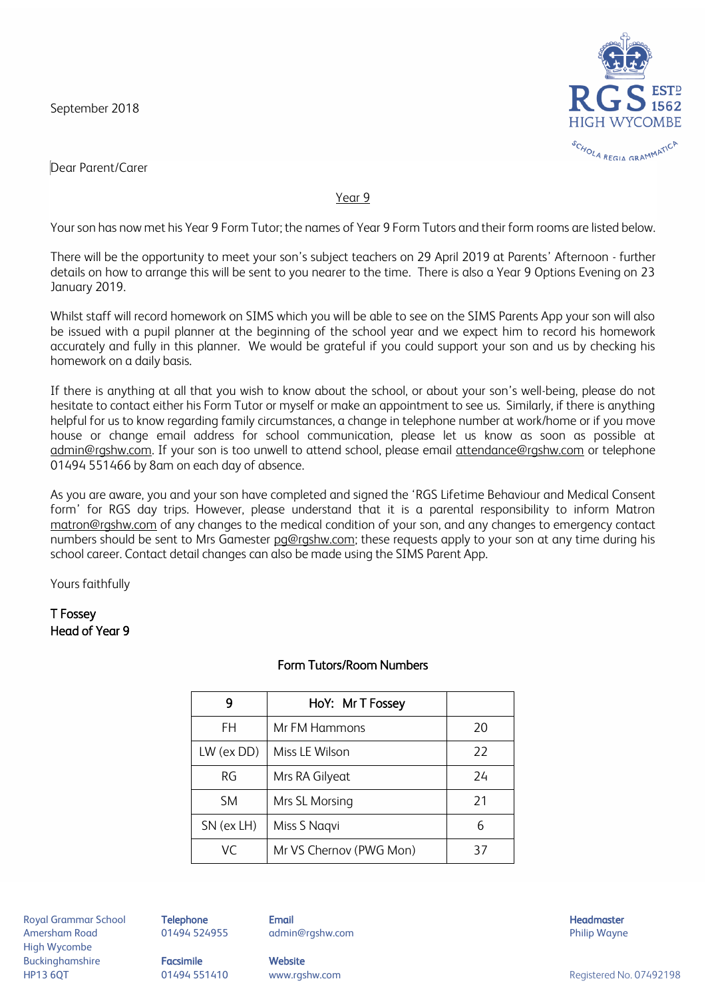September 2018



Dear Parent/Carer

## Year 9

Your son has now met his Year 9 Form Tutor; the names of Year 9 Form Tutors and their form rooms are listed below.

There will be the opportunity to meet your son's subject teachers on 29 April 2019 at Parents' Afternoon - further details on how to arrange this will be sent to you nearer to the time. There is also a Year 9 Options Evening on 23 January 2019.

Whilst staff will record homework on SIMS which you will be able to see on the SIMS Parents App your son will also be issued with a pupil planner at the beginning of the school year and we expect him to record his homework accurately and fully in this planner. We would be grateful if you could support your son and us by checking his homework on a daily basis.

If there is anything at all that you wish to know about the school, or about your son's well-being, please do not hesitate to contact either his Form Tutor or myself or make an appointment to see us. Similarly, if there is anything helpful for us to know regarding family circumstances, a change in telephone number at work/home or if you move house or change email address for school communication, please let us know as soon as possible at [admin@rgshw.com.](mailto:admin@rgshw.com) If your son is too unwell to attend school, please email [attendance@rgshw.com](mailto:attendance@rgshw.com) or telephone 01494 551466 by 8am on each day of absence.

As you are aware, you and your son have completed and signed the 'RGS Lifetime Behaviour and Medical Consent form' for RGS day trips. However, please understand that it is a parental responsibility to inform Matron [matron@rgshw.com](mailto:matron@rgshw.com) of any changes to the medical condition of your son, and any changes to emergency contact numbers should be sent to Mrs Gamester [pg@rgshw.com;](mailto:pg@rgshw.com) these requests apply to your son at any time during his school career. Contact detail changes can also be made using the SIMS Parent App.

Yours faithfully

## T Fossey Head of Year 9

| g            | HoY: Mr T Fossey        |    |
|--------------|-------------------------|----|
| FH           | Mr FM Hammons           | 20 |
| $LW$ (ex DD) | Miss LE Wilson          | 22 |
| RG           | Mrs RA Gilyeat          | 24 |
| <b>SM</b>    | Mrs SL Morsing          | 21 |
| SN (ex LH)   | Miss S Nagvi            |    |
| VC           | Mr VS Chernov (PWG Mon) | 37 |

## Form Tutors/Room Numbers

Royal Grammar School **Telephone Email Email Headmaster Email Headmaster Headmaster** Amersham Road 01494 524955 admin@rgshw.com Philip Wayne High Wycombe Buckinghamshire **Facsimile Website**